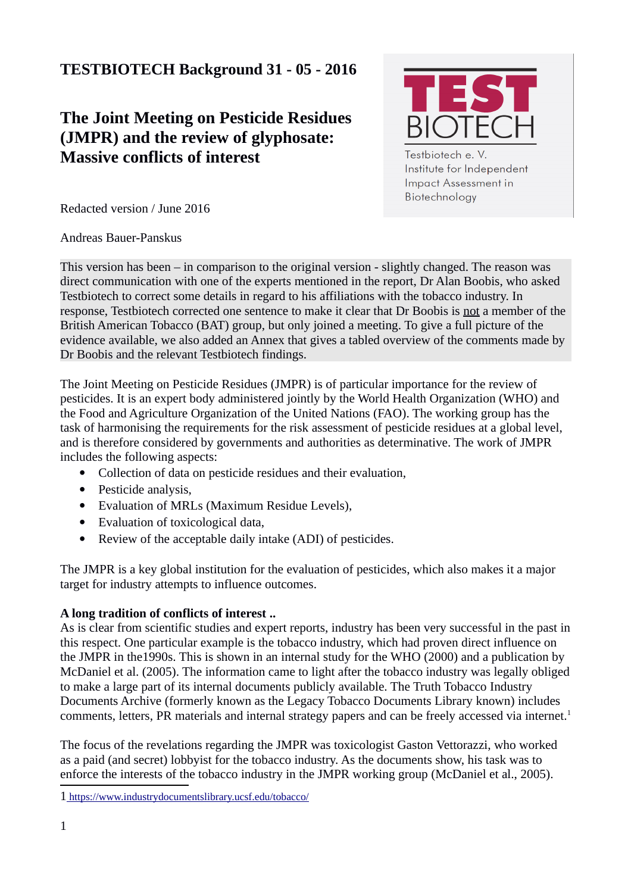## **TESTBIOTECH Background 31 - 05 - 2016**

# **The Joint Meeting on Pesticide Residues (JMPR) and the review of glyphosate: Massive conflicts of interest**



Testbiotech e.V. Institute for Independent **Impact Assessment in** Biotechnology

Redacted version / June 2016

Andreas Bauer-Panskus

This version has been – in comparison to the original version - slightly changed. The reason was direct communication with one of the experts mentioned in the report, Dr Alan Boobis, who asked Testbiotech to correct some details in regard to his affiliations with the tobacco industry. In response, Testbiotech corrected one sentence to make it clear that Dr Boobis is not a member of the British American Tobacco (BAT) group, but only joined a meeting. To give a full picture of the evidence available, we also added an Annex that gives a tabled overview of the comments made by Dr Boobis and the relevant Testbiotech findings.

The Joint Meeting on Pesticide Residues (JMPR) is of particular importance for the review of pesticides. It is an expert body administered jointly by the World Health Organization (WHO) and the Food and Agriculture Organization of the United Nations (FAO). The working group has the task of harmonising the requirements for the risk assessment of pesticide residues at a global level, and is therefore considered by governments and authorities as determinative. The work of JMPR includes the following aspects:

- Collection of data on pesticide residues and their evaluation,
- Pesticide analysis,
- Evaluation of MRLs (Maximum Residue Levels),
- Evaluation of toxicological data,
- Review of the acceptable daily intake (ADI) of pesticides.

The JMPR is a key global institution for the evaluation of pesticides, which also makes it a major target for industry attempts to influence outcomes.

## **A long tradition of conflicts of interest ..**

As is clear from scientific studies and expert reports, industry has been very successful in the past in this respect. One particular example is the tobacco industry, which had proven direct influence on the JMPR in the1990s. This is shown in an internal study for the WHO (2000) and a publication by McDaniel et al. (2005). The information came to light after the tobacco industry was legally obliged to make a large part of its internal documents publicly available. The Truth Tobacco Industry Documents Archive (formerly known as the Legacy Tobacco Documents Library known) includes comments, letters, PR materials and internal strategy papers and can be freely accessed via internet.<sup>[1](#page-0-0)</sup>

The focus of the revelations regarding the JMPR was toxicologist Gaston Vettorazzi, who worked as a paid (and secret) lobbyist for the tobacco industry. As the documents show, his task was to enforce the interests of the tobacco industry in the JMPR working group (McDaniel et al., 2005).

<span id="page-0-0"></span>1 <https://www.industrydocumentslibrary.ucsf.edu/tobacco/>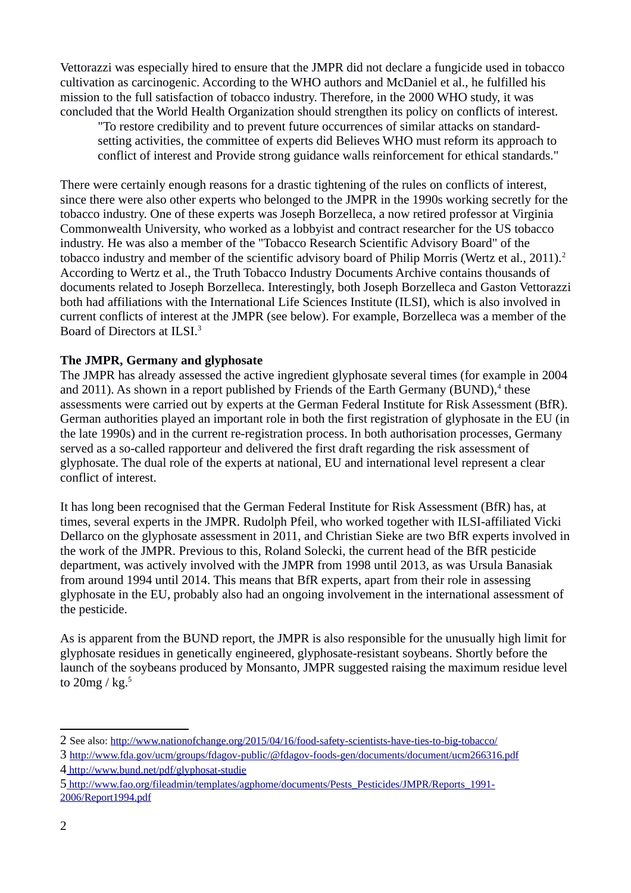Vettorazzi was especially hired to ensure that the JMPR did not declare a fungicide used in tobacco cultivation as carcinogenic. According to the WHO authors and McDaniel et al., he fulfilled his mission to the full satisfaction of tobacco industry. Therefore, in the 2000 WHO study, it was concluded that the World Health Organization should strengthen its policy on conflicts of interest.

"To restore credibility and to prevent future occurrences of similar attacks on standardsetting activities, the committee of experts did Believes WHO must reform its approach to conflict of interest and Provide strong guidance walls reinforcement for ethical standards."

There were certainly enough reasons for a drastic tightening of the rules on conflicts of interest, since there were also other experts who belonged to the JMPR in the 1990s working secretly for the tobacco industry. One of these experts was Joseph Borzelleca, a now retired professor at Virginia Commonwealth University, who worked as a lobbyist and contract researcher for the US tobacco industry. He was also a member of the "Tobacco Research Scientific Advisory Board" of the tobacco industry and member of the scientific advisory board of Philip Morris (Wertz et al., [2](#page-1-0)011).<sup>2</sup> According to Wertz et al., the Truth Tobacco Industry Documents Archive contains thousands of documents related to Joseph Borzelleca. Interestingly, both Joseph Borzelleca and Gaston Vettorazzi both had affiliations with the International Life Sciences Institute (ILSI), which is also involved in current conflicts of interest at the JMPR (see below). For example, Borzelleca was a member of the Board of Directors at ILSI.<sup>[3](#page-1-1)</sup>

## **The JMPR, Germany and glyphosate**

The JMPR has already assessed the active ingredient glyphosate several times (for example in 2004 and 2011). As shown in a report published by Friends of the Earth Germany  $(BUND)$ ,<sup>[4](#page-1-2)</sup> these assessments were carried out by experts at the German Federal Institute for Risk Assessment (BfR). German authorities played an important role in both the first registration of glyphosate in the EU (in the late 1990s) and in the current re-registration process. In both authorisation processes, Germany served as a so-called rapporteur and delivered the first draft regarding the risk assessment of glyphosate. The dual role of the experts at national, EU and international level represent a clear conflict of interest.

It has long been recognised that the German Federal Institute for Risk Assessment (BfR) has, at times, several experts in the JMPR. Rudolph Pfeil, who worked together with ILSI-affiliated Vicki Dellarco on the glyphosate assessment in 2011, and Christian Sieke are two BfR experts involved in the work of the JMPR. Previous to this, Roland Solecki, the current head of the BfR pesticide department, was actively involved with the JMPR from 1998 until 2013, as was Ursula Banasiak from around 1994 until 2014. This means that BfR experts, apart from their role in assessing glyphosate in the EU, probably also had an ongoing involvement in the international assessment of the pesticide.

As is apparent from the BUND report, the JMPR is also responsible for the unusually high limit for glyphosate residues in genetically engineered, glyphosate-resistant soybeans. Shortly before the launch of the soybeans produced by Monsanto, JMPR suggested raising the maximum residue level to  $20mg / kg.<sup>5</sup>$  $20mg / kg.<sup>5</sup>$  $20mg / kg.<sup>5</sup>$ 

<span id="page-1-1"></span>3 <http://www.fda.gov/ucm/groups/fdagov-public/@fdagov-foods-gen/documents/document/ucm266316.pdf>

<span id="page-1-2"></span>4 <http://www.bund.net/pdf/glyphosat-studie>

<span id="page-1-0"></span><sup>2</sup> See also:<http://www.nationofchange.org/2015/04/16/food-safety-scientists-have-ties-to-big-tobacco/>

<span id="page-1-3"></span><sup>5</sup> [http://www.fao.org/fileadmin/templates/agphome/documents/Pests\\_Pesticides/JMPR/Reports\\_1991-](http://www.fao.org/fileadmin/templates/agphome/documents/Pests_Pesticides/JMPR/Reports_1991-2006/Report1994.pdf) [2006/Report1994.pdf](http://www.fao.org/fileadmin/templates/agphome/documents/Pests_Pesticides/JMPR/Reports_1991-2006/Report1994.pdf)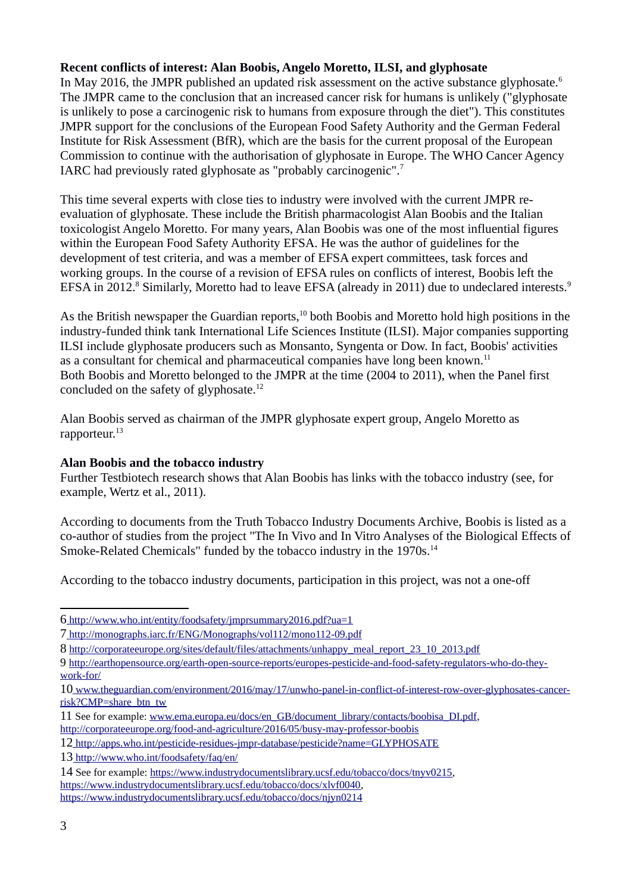### **Recent conflicts of interest: Alan Boobis, Angelo Moretto, ILSI, and glyphosate**

In May 201[6](#page-2-0), the JMPR published an updated risk assessment on the active substance glyphosate.<sup>6</sup> The JMPR came to the conclusion that an increased cancer risk for humans is unlikely ("glyphosate is unlikely to pose a carcinogenic risk to humans from exposure through the diet"). This constitutes JMPR support for the conclusions of the European Food Safety Authority and the German Federal Institute for Risk Assessment (BfR), which are the basis for the current proposal of the European Commission to continue with the authorisation of glyphosate in Europe. The WHO Cancer Agency IARC had previously rated glyphosate as "probably carcinogenic".[7](#page-2-1)

This time several experts with close ties to industry were involved with the current JMPR reevaluation of glyphosate. These include the British pharmacologist Alan Boobis and the Italian toxicologist Angelo Moretto. For many years, Alan Boobis was one of the most influential figures within the European Food Safety Authority EFSA. He was the author of guidelines for the development of test criteria, and was a member of EFSA expert committees, task forces and working groups. In the course of a revision of EFSA rules on conflicts of interest, Boobis left the EFSA in 2012. $^8$  $^8$  Similarly, Moretto had to leave EFSA (already in 2011) due to undeclared interests. $^9$  $^9$ 

As the British newspaper the Guardian reports,<sup>[10](#page-2-4)</sup> both Boobis and Moretto hold high positions in the industry-funded think tank International Life Sciences Institute (ILSI). Major companies supporting ILSI include glyphosate producers such as Monsanto, Syngenta or Dow. In fact, Boobis' activities as a consultant for chemical and pharmaceutical companies have long been known.<sup>[11](#page-2-5)</sup> Both Boobis and Moretto belonged to the JMPR at the time (2004 to 2011), when the Panel first concluded on the safety of glyphosate.[12](#page-2-6)

Alan Boobis served as chairman of the JMPR glyphosate expert group, Angelo Moretto as rapporteur.<sup>[13](#page-2-7)</sup>

#### **Alan Boobis and the tobacco industry**

Further Testbiotech research shows that Alan Boobis has links with the tobacco industry (see, for example, Wertz et al., 2011).

According to documents from the Truth Tobacco Industry Documents Archive, Boobis is listed as a co-author of studies from the project "The In Vivo and In Vitro Analyses of the Biological Effects of Smoke-Related Chemicals" funded by the tobacco industry in the 1970s.<sup>[14](#page-2-8)</sup>

According to the tobacco industry documents, participation in this project, was not a one-off

<span id="page-2-0"></span><sup>6</sup> <http://www.who.int/entity/foodsafety/jmprsummary2016.pdf?ua=1>

<span id="page-2-1"></span><sup>7</sup> <http://monographs.iarc.fr/ENG/Monographs/vol112/mono112-09.pdf>

<span id="page-2-2"></span><sup>8</sup> [http://corporateeurope.org/sites/default/files/attachments/unhappy\\_meal\\_report\\_23\\_10\\_2013.pdf](http://corporateeurope.org/sites/default/files/attachments/unhappy_meal_report_23_10_2013.pdf)

<span id="page-2-3"></span><sup>9</sup> [http://earthopensource.org/earth-open-source-reports/europes-pesticide-and-food-safety-regulators-who-do-they](http://earthopensource.org/earth-open-source-reports/europes-pesticide-and-food-safety-regulators-who-do-they-work-for/)[work-for/](http://earthopensource.org/earth-open-source-reports/europes-pesticide-and-food-safety-regulators-who-do-they-work-for/)

<span id="page-2-4"></span><sup>10</sup> [www.theguardian.com/environment/2016/may/17/unwho-panel-in-conflict-of-interest-row-over-glyphosates-cancer](http://www.theguardian.com/environment/2016/may/17/unwho-panel-in-conflict-of-interest-row-over-glyphosates-cancer-risk?CMP=share_btn_tw)[risk?CMP=share\\_btn\\_tw](http://www.theguardian.com/environment/2016/may/17/unwho-panel-in-conflict-of-interest-row-over-glyphosates-cancer-risk?CMP=share_btn_tw)

<span id="page-2-5"></span><sup>11</sup> See for example: [www.ema.europa.eu/docs/en\\_GB/document\\_library/contacts/boobisa\\_DI.pdf,](http://www.ema.europa.eu/docs/en_GB/document_library/contacts/boobisa_DI.pdf)

<http://corporateeurope.org/food-and-agriculture/2016/05/busy-may-professor-boobis>

<span id="page-2-6"></span><sup>12</sup> <http://apps.who.int/pesticide-residues-jmpr-database/pesticide?name=GLYPHOSATE>

<span id="page-2-7"></span><sup>13</sup> http://www.who.int/foodsafety/faq/en/

<span id="page-2-8"></span><sup>14</sup> See for example: [https://www.industrydocumentslibrary.ucsf.edu/tobacco/docs/tnyv0215,](https://www.industrydocumentslibrary.ucsf.edu/tobacco/docs/tnyv0215) [https://www.industrydocumentslibrary.ucsf.edu/tobacco/docs/xlvf0040,](https://www.industrydocumentslibrary.ucsf.edu/tobacco/docs/xlvf0040) <https://www.industrydocumentslibrary.ucsf.edu/tobacco/docs/njyn0214>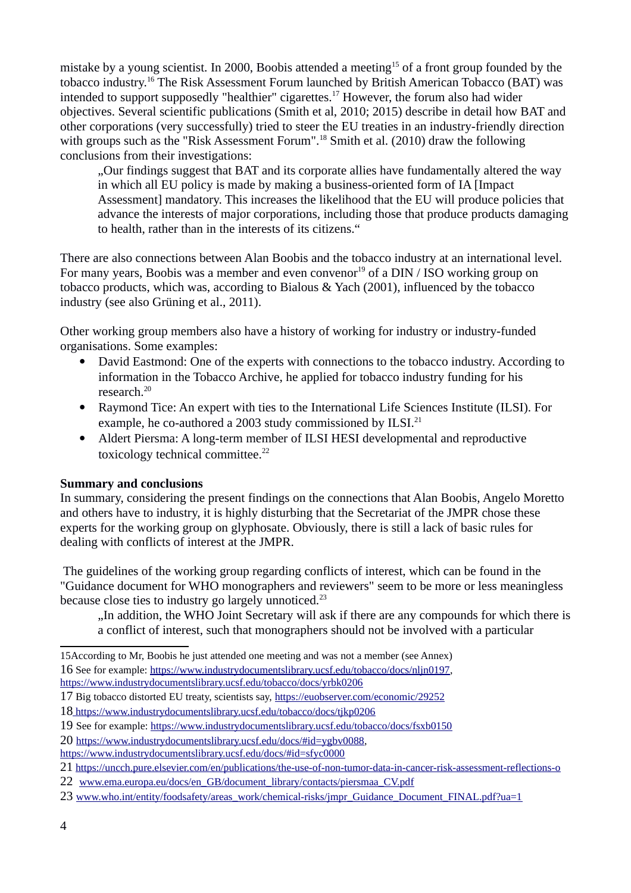mistake by a young scientist. In 2000, Boobis attended a meeting<sup>[15](#page-3-0)</sup> of a front group founded by the tobacco industry.[16](#page-3-1) The Risk Assessment Forum launched by British American Tobacco (BAT) was intended to support supposedly "healthier" cigarettes.<sup>[17](#page-3-2)</sup> However, the forum also had wider objectives. Several scientific publications (Smith et al, 2010; 2015) describe in detail how BAT and other corporations (very successfully) tried to steer the EU treaties in an industry-friendly direction with groups such as the "Risk Assessment Forum".<sup>[18](#page-3-3)</sup> Smith et al. (2010) draw the following conclusions from their investigations:

"Our findings suggest that BAT and its corporate allies have fundamentally altered the way in which all EU policy is made by making a business-oriented form of IA [Impact Assessment] mandatory. This increases the likelihood that the EU will produce policies that advance the interests of major corporations, including those that produce products damaging to health, rather than in the interests of its citizens."

There are also connections between Alan Boobis and the tobacco industry at an international level. For many years, Boobis was a member and even convenor<sup>[19](#page-3-4)</sup> of a DIN / ISO working group on tobacco products, which was, according to Bialous & Yach (2001), influenced by the tobacco industry (see also Grüning et al., 2011).

Other working group members also have a history of working for industry or industry-funded organisations. Some examples:

- David Eastmond: One of the experts with connections to the tobacco industry. According to information in the Tobacco Archive, he applied for tobacco industry funding for his research.[20](#page-3-5)
- Raymond Tice: An expert with ties to the International Life Sciences Institute (ILSI). For example, he co-authored a 2003 study commissioned by ILSI. $^{21}$  $^{21}$  $^{21}$
- Aldert Piersma: A long-term member of ILSI HESI developmental and reproductive toxicology technical committee.<sup>[22](#page-3-7)</sup>

## **Summary and conclusions**

In summary, considering the present findings on the connections that Alan Boobis, Angelo Moretto and others have to industry, it is highly disturbing that the Secretariat of the JMPR chose these experts for the working group on glyphosate. Obviously, there is still a lack of basic rules for dealing with conflicts of interest at the JMPR.

 The guidelines of the working group regarding conflicts of interest, which can be found in the "Guidance document for WHO monographers and reviewers" seem to be more or less meaningless because close ties to industry go largely unnoticed. $^{23}$  $^{23}$  $^{23}$ 

"In addition, the WHO Joint Secretary will ask if there are any compounds for which there is a conflict of interest, such that monographers should not be involved with a particular

<span id="page-3-1"></span><span id="page-3-0"></span><sup>15</sup>According to Mr, Boobis he just attended one meeting and was not a member (see Annex) 16 See for example: [https://www.industrydocumentslibrary.ucsf.edu/tobacco/docs/nljn0197,](https://www.industrydocumentslibrary.ucsf.edu/tobacco/docs/nljn0197) <https://www.industrydocumentslibrary.ucsf.edu/tobacco/docs/yrbk0206>

<span id="page-3-2"></span><sup>17</sup> Big tobacco distorted EU treaty, scientists say,<https://euobserver.com/economic/29252>

<span id="page-3-3"></span><sup>18</sup> <https://www.industrydocumentslibrary.ucsf.edu/tobacco/docs/tjkp0206>

<span id="page-3-4"></span><sup>19</sup> See for example:<https://www.industrydocumentslibrary.ucsf.edu/tobacco/docs/fsxb0150>

<span id="page-3-5"></span><sup>20</sup> [https://](https://www.industrydocumentslibrary.ucsf.edu/docs/#id=sfyc0000)[www.industrydocumentslibrary.ucsf.edu/docs/#id=ygbv0088,](https://www.industrydocumentslibrary.ucsf.edu/docs/#id=ygbv0088)

<https://www.industrydocumentslibrary.ucsf.edu/docs/#id=sfyc0000>

<span id="page-3-6"></span><sup>21</sup> <https://uncch.pure.elsevier.com/en/publications/the-use-of-non-tumor-data-in-cancer-risk-assessment-reflections-o>

<span id="page-3-7"></span><sup>22</sup> [www.ema.europa.eu/docs/en\\_GB/document\\_library/contacts/piersmaa\\_CV.pdf](http://www.ema.europa.eu/docs/en_GB/document_library/contacts/piersmaa_CV.pdf)

<span id="page-3-8"></span><sup>23</sup> [www.who.int/entity/foodsafety/areas\\_work/chemical-risks/jmpr\\_Guidance\\_Document\\_FINAL.pdf?ua=1](http://www.who.int/entity/foodsafety/areas_work/chemical-risks/jmpr_Guidance_Document_FINAL.pdf?ua=1)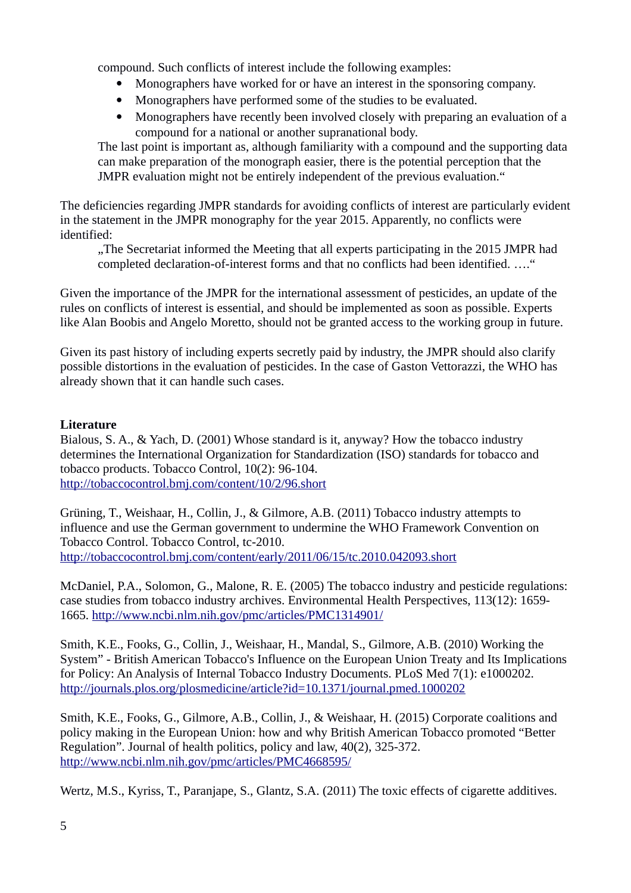compound. Such conflicts of interest include the following examples:

- Monographers have worked for or have an interest in the sponsoring company.
- Monographers have performed some of the studies to be evaluated.
- Monographers have recently been involved closely with preparing an evaluation of a compound for a national or another supranational body.

The last point is important as, although familiarity with a compound and the supporting data can make preparation of the monograph easier, there is the potential perception that the JMPR evaluation might not be entirely independent of the previous evaluation."

The deficiencies regarding JMPR standards for avoiding conflicts of interest are particularly evident in the statement in the JMPR monography for the year 2015. Apparently, no conflicts were identified:

.The Secretariat informed the Meeting that all experts participating in the 2015 JMPR had completed declaration-of-interest forms and that no conflicts had been identified. …."

Given the importance of the JMPR for the international assessment of pesticides, an update of the rules on conflicts of interest is essential, and should be implemented as soon as possible. Experts like Alan Boobis and Angelo Moretto, should not be granted access to the working group in future.

Given its past history of including experts secretly paid by industry, the JMPR should also clarify possible distortions in the evaluation of pesticides. In the case of Gaston Vettorazzi, the WHO has already shown that it can handle such cases.

## **Literature**

Bialous, S. A., & Yach, D. (2001) Whose standard is it, anyway? How the tobacco industry determines the International Organization for Standardization (ISO) standards for tobacco and tobacco products. Tobacco Control, 10(2): 96-104. <http://tobaccocontrol.bmj.com/content/10/2/96.short>

Grüning, T., Weishaar, H., Collin, J., & Gilmore, A.B. (2011) Tobacco industry attempts to influence and use the German government to undermine the WHO Framework Convention on Tobacco Control. Tobacco Control, tc-2010. <http://tobaccocontrol.bmj.com/content/early/2011/06/15/tc.2010.042093.short>

McDaniel, P.A., Solomon, G., Malone, R. E. (2005) The tobacco industry and pesticide regulations: case studies from tobacco industry archives. Environmental Health Perspectives, 113(12): 1659- 1665.<http://www.ncbi.nlm.nih.gov/pmc/articles/PMC1314901/>

Smith, K.E., Fooks, G., Collin, J., Weishaar, H., Mandal, S., Gilmore, A.B. (2010) Working the System" - British American Tobacco's Influence on the European Union Treaty and Its Implications for Policy: An Analysis of Internal Tobacco Industry Documents. PLoS Med 7(1): e1000202. <http://journals.plos.org/plosmedicine/article?id=10.1371/journal.pmed.1000202>

Smith, K.E., Fooks, G., Gilmore, A.B., Collin, J., & Weishaar, H. (2015) Corporate coalitions and policy making in the European Union: how and why British American Tobacco promoted "Better Regulation". Journal of health politics, policy and law, 40(2), 325-372. <http://www.ncbi.nlm.nih.gov/pmc/articles/PMC4668595/>

Wertz, M.S., Kyriss, T., Paranjape, S., Glantz, S.A. (2011) The toxic effects of cigarette additives.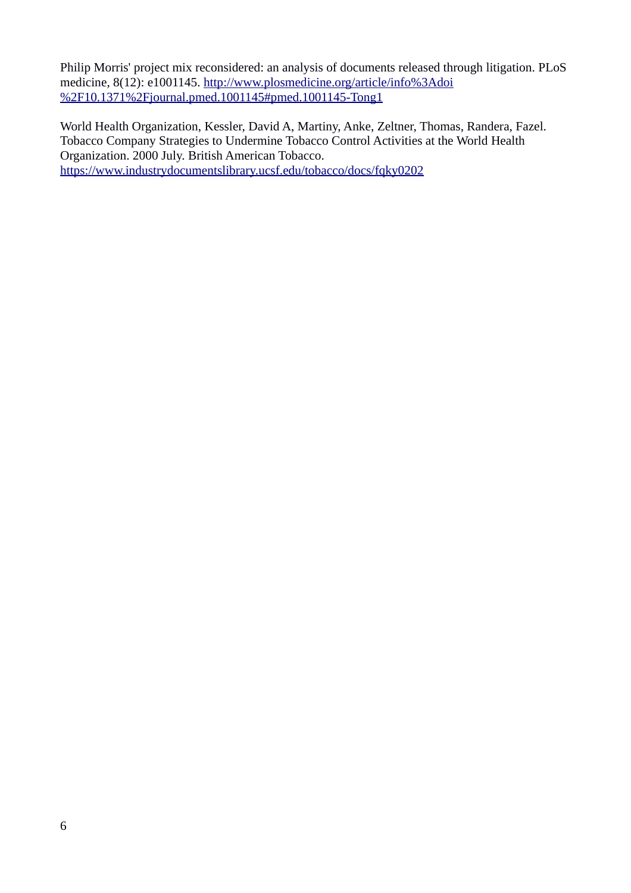Philip Morris' project mix reconsidered: an analysis of documents released through litigation. PLoS medicine, 8(12): e1001145. [http://www.plosmedicine.org/article/info%3Adoi](http://www.plosmedicine.org/article/info%3Adoi%2F10.1371%2Fjournal.pmed.1001145#pmed.1001145-Tong1) [%2F10.1371%2Fjournal.pmed.1001145#pmed.1001145-Tong1](http://www.plosmedicine.org/article/info%3Adoi%2F10.1371%2Fjournal.pmed.1001145#pmed.1001145-Tong1)

World Health Organization, Kessler, David A, Martiny, Anke, Zeltner, Thomas, Randera, Fazel. Tobacco Company Strategies to Undermine Tobacco Control Activities at the World Health Organization. 2000 July. British American Tobacco. <https://www.industrydocumentslibrary.ucsf.edu/tobacco/docs/fqky0202>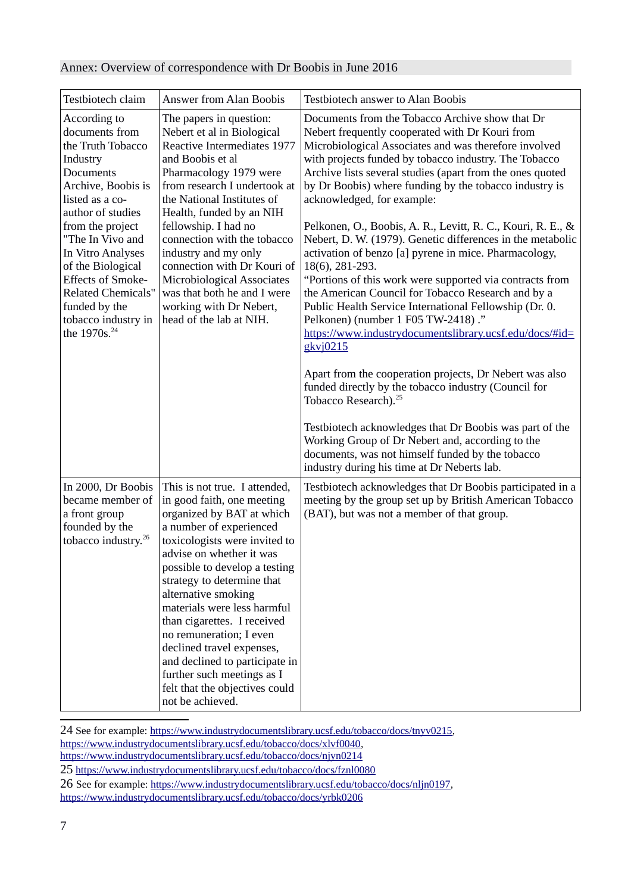| Testbiotech claim                                                                                                                                                                                                                                                                                                                                         | <b>Answer from Alan Boobis</b>                                                                                                                                                                                                                                                                                                                                                                                                                                                                                     | <b>Testbiotech answer to Alan Boobis</b>                                                                                                                                                                                                                                                                                                                                                                                                                                                                                                                                                                                                                                                                                                                                                                                                                                                                                                                                                                                                                                                                                                                                                                                                             |
|-----------------------------------------------------------------------------------------------------------------------------------------------------------------------------------------------------------------------------------------------------------------------------------------------------------------------------------------------------------|--------------------------------------------------------------------------------------------------------------------------------------------------------------------------------------------------------------------------------------------------------------------------------------------------------------------------------------------------------------------------------------------------------------------------------------------------------------------------------------------------------------------|------------------------------------------------------------------------------------------------------------------------------------------------------------------------------------------------------------------------------------------------------------------------------------------------------------------------------------------------------------------------------------------------------------------------------------------------------------------------------------------------------------------------------------------------------------------------------------------------------------------------------------------------------------------------------------------------------------------------------------------------------------------------------------------------------------------------------------------------------------------------------------------------------------------------------------------------------------------------------------------------------------------------------------------------------------------------------------------------------------------------------------------------------------------------------------------------------------------------------------------------------|
| According to<br>documents from<br>the Truth Tobacco<br>Industry<br>Documents<br>Archive, Boobis is<br>listed as a co-<br>author of studies<br>from the project<br>"The In Vivo and<br>In Vitro Analyses<br>of the Biological<br><b>Effects of Smoke-</b><br><b>Related Chemicals"</b><br>funded by the<br>tobacco industry in<br>the 1970s. <sup>24</sup> | The papers in question:<br>Nebert et al in Biological<br>Reactive Intermediates 1977<br>and Boobis et al<br>Pharmacology 1979 were<br>from research I undertook at<br>the National Institutes of<br>Health, funded by an NIH<br>fellowship. I had no<br>connection with the tobacco<br>industry and my only<br>connection with Dr Kouri of<br><b>Microbiological Associates</b><br>was that both he and I were<br>working with Dr Nebert,<br>head of the lab at NIH.                                               | Documents from the Tobacco Archive show that Dr<br>Nebert frequently cooperated with Dr Kouri from<br>Microbiological Associates and was therefore involved<br>with projects funded by tobacco industry. The Tobacco<br>Archive lists several studies (apart from the ones quoted<br>by Dr Boobis) where funding by the tobacco industry is<br>acknowledged, for example:<br>Pelkonen, O., Boobis, A. R., Levitt, R. C., Kouri, R. E., &<br>Nebert, D. W. (1979). Genetic differences in the metabolic<br>activation of benzo [a] pyrene in mice. Pharmacology,<br>18(6), 281-293.<br>"Portions of this work were supported via contracts from<br>the American Council for Tobacco Research and by a<br>Public Health Service International Fellowship (Dr. 0.<br>Pelkonen) (number 1 F05 TW-2418)."<br>https://www.industrydocumentslibrary.ucsf.edu/docs/#id=<br>gkvj0215<br>Apart from the cooperation projects, Dr Nebert was also<br>funded directly by the tobacco industry (Council for<br>Tobacco Research). <sup>25</sup><br>Testbiotech acknowledges that Dr Boobis was part of the<br>Working Group of Dr Nebert and, according to the<br>documents, was not himself funded by the tobacco<br>industry during his time at Dr Neberts lab. |
| In 2000, Dr Boobis<br>became member of<br>a front group<br>founded by the<br>tobacco industry. <sup>26</sup>                                                                                                                                                                                                                                              | This is not true. I attended,<br>in good faith, one meeting<br>organized by BAT at which<br>a number of experienced<br>toxicologists were invited to<br>advise on whether it was<br>possible to develop a testing<br>strategy to determine that<br>alternative smoking<br>materials were less harmful<br>than cigarettes. I received<br>no remuneration; I even<br>declined travel expenses,<br>and declined to participate in<br>further such meetings as I<br>felt that the objectives could<br>not be achieved. | Testbiotech acknowledges that Dr Boobis participated in a<br>meeting by the group set up by British American Tobacco<br>(BAT), but was not a member of that group.                                                                                                                                                                                                                                                                                                                                                                                                                                                                                                                                                                                                                                                                                                                                                                                                                                                                                                                                                                                                                                                                                   |

|  |  |  | Annex: Overview of correspondence with Dr Boobis in June 2016 |
|--|--|--|---------------------------------------------------------------|
|  |  |  |                                                               |

<span id="page-6-0"></span>24 See for example: [https://www.industrydocumentslibrary.ucsf.edu/tobacco/docs/tnyv0215,](https://www.industrydocumentslibrary.ucsf.edu/tobacco/docs/tnyv0215) [https://www.industrydocumentslibrary.ucsf.edu/tobacco/docs/xlvf0040,](https://www.industrydocumentslibrary.ucsf.edu/tobacco/docs/xlvf0040) <https://www.industrydocumentslibrary.ucsf.edu/tobacco/docs/njyn0214>

<https://www.industrydocumentslibrary.ucsf.edu/tobacco/docs/yrbk0206>

<span id="page-6-1"></span><sup>25</sup> <https://www.industrydocumentslibrary.ucsf.edu/tobacco/docs/fznl0080>

<span id="page-6-2"></span><sup>26</sup> See for example: [https://www.industrydocumentslibrary.ucsf.edu/tobacco/docs/nljn0197,](https://www.industrydocumentslibrary.ucsf.edu/tobacco/docs/nljn0197)